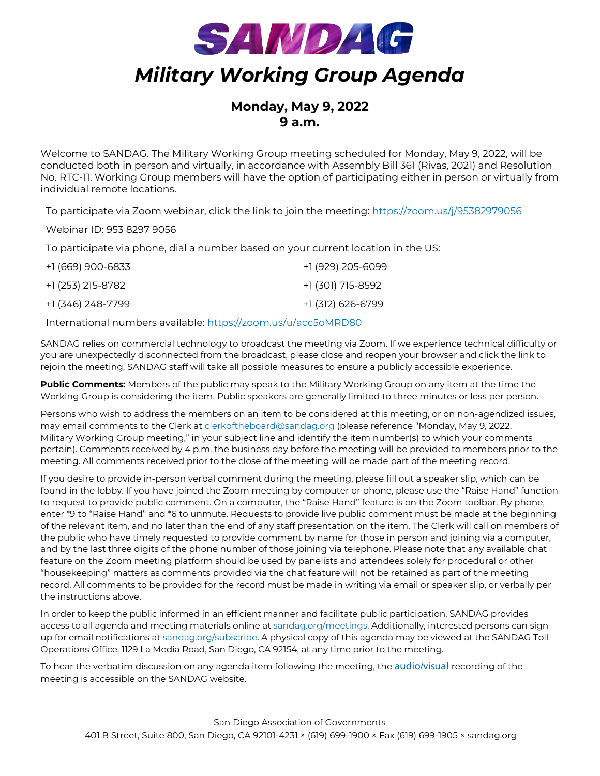

# **Monday, May 9, 2022 9 a.m.**

Welcome to SANDAG. The Military Working Group meeting scheduled for Monday, May 9, 2022, will be conducted both in person and virtually, in accordance with Assembly Bill 361 (Rivas, 2021) and Resolution No. RTC-11. Working Group members will have the option of participating either in person or virtually from individual remote locations.

To participate via Zoom webinar, click the link to join the meeting: [https://zoom.us/j/95382979056](https://gcc02.safelinks.protection.outlook.com/?url=https%3A%2F%2Fzoom.us%2Fj%2F95382979056&data=04%7C01%7Ceditorial%40sandag.org%7Ca7d891a4d65a463f027b08d9dd25761c%7C2bbb5689d9d5406b8d02cf1002b473e7%7C0%7C0%7C637783975252564879%7CUnknown%7CTWFpbGZsb3d8eyJWIjoiMC4wLjAwMDAiLCJQIjoiV2luMzIiLCJBTiI6Ik1haWwiLCJXVCI6Mn0%3D%7C3000&sdata=4MUjVYiejGd%2BJCrRwi8hTxmiDaKcxLqXDafhUoYeaO8%3D&reserved=0)

Webinar ID: 953 8297 9056

To participate via phone, dial a number based on your current location in the US:

| +1 (669) 900-6833 | +1 (929) 205-6099 |
|-------------------|-------------------|
| +1 (253) 215-8782 | +1 (301) 715-8592 |
| +1 (346) 248-7799 | +1 (312) 626-6799 |

International numbers available: [https://zoom.us/u/acc5oMRD80](https://gcc02.safelinks.protection.outlook.com/?url=https%3A%2F%2Fzoom.us%2Fu%2Facc5oMRD80&data=04%7C01%7Ceditorial%40sandag.org%7Ca7d891a4d65a463f027b08d9dd25761c%7C2bbb5689d9d5406b8d02cf1002b473e7%7C0%7C0%7C637783975252564879%7CUnknown%7CTWFpbGZsb3d8eyJWIjoiMC4wLjAwMDAiLCJQIjoiV2luMzIiLCJBTiI6Ik1haWwiLCJXVCI6Mn0%3D%7C3000&sdata=QOcnzs0A5SMJhJhe%2FY861aL%2FcU5wBXztav5ut1ZZO%2BA%3D&reserved=0)

SANDAG relies on commercial technology to broadcast the meeting via Zoom. If we experience technical difficulty or you are unexpectedly disconnected from the broadcast, please close and reopen your browser and click the link to rejoin the meeting. SANDAG staff will take all possible measures to ensure a publicly accessible experience.

**Public Comments:** Members of the public may speak to the Military Working Group on any item at the time the Working Group is considering the item. Public speakers are generally limited to three minutes or less per person.

Persons who wish to address the members on an item to be considered at this meeting, or on non-agendized issues, may email comments to the Clerk at [clerkoftheboard@sandag.org](mailto:clerkoftheboard@sandag.org) (please reference "Monday, May 9, 2022, Military Working Group meeting," in your subject line and identify the item number(s) to which your comments pertain). Comments received by 4 p.m. the business day before the meeting will be provided to members prior to the meeting. All comments received prior to the close of the meeting will be made part of the meeting record.

If you desire to provide in-person verbal comment during the meeting, please fill out a speaker slip, which can be found in the lobby. If you have joined the Zoom meeting by computer or phone, please use the "Raise Hand" function to request to provide public comment. On a computer, the "Raise Hand" feature is on the Zoom toolbar. By phone, enter \*9 to "Raise Hand" and \*6 to unmute. Requests to provide live public comment must be made at the beginning of the relevant item, and no later than the end of any staff presentation on the item. The Clerk will call on members of the public who have timely requested to provide comment by name for those in person and joining via a computer, and by the last three digits of the phone number of those joining via telephone. Please note that any available chat feature on the Zoom meeting platform should be used by panelists and attendees solely for procedural or other "housekeeping" matters as comments provided via the chat feature will not be retained as part of the meeting record. All comments to be provided for the record must be made in writing via email or speaker slip, or verbally per the instructions above.

In order to keep the public informed in an efficient manner and facilitate public participation, SANDAG provides access to all agenda and meeting materials online at [sandag.org/meetings.](http://www.sandag.org/meetings) Additionally, interested persons can sign up for email notifications at [sandag.org/subscribe.](http://www.sandag.org/subscribe) A physical copy of this agenda may be viewed at the SANDAG Toll Operations Office, 1129 La Media Road, San Diego, CA 92154, at any time prior to the meeting.

To hear the verbatim discussion on any agenda item following the meeting, the [audio/visual](https://www.sandag.org/index.asp?meetingid=6088&fuseaction=meetings.detail) recording of the meeting is accessible on the SANDAG website.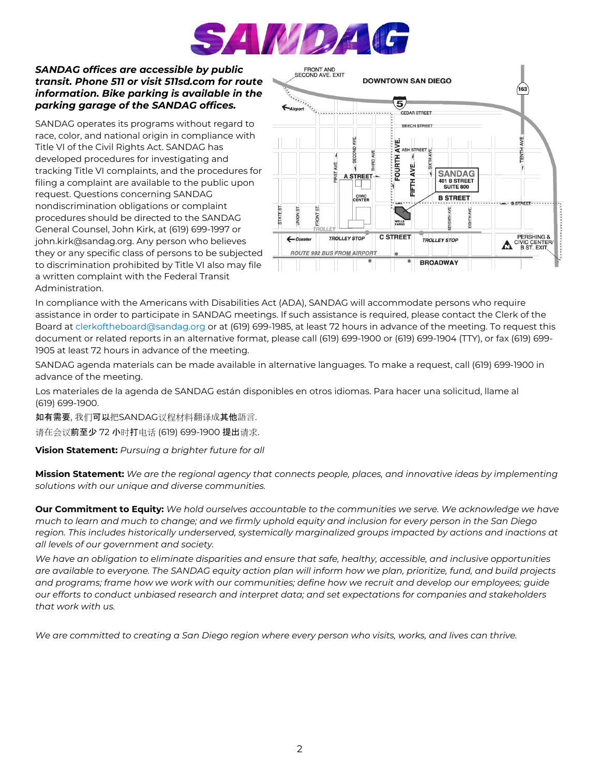

#### *SANDAG offices are accessible by public transit. Phone 511 or visit 511sd.com for route information. Bike parking is available in the parking garage of the SANDAG offices.*

SANDAG operates its programs without regard to race, color, and national origin in compliance with Title VI of the Civil Rights Act. SANDAG has developed procedures for investigating and tracking Title VI complaints, and the procedures for filing a complaint are available to the public upon request. Questions concerning SANDAG nondiscrimination obligations or complaint procedures should be directed to the SANDAG General Counsel, John Kirk, at (619) 699-1997 or john.kirk@sandag.org. Any person who believes they or any specific class of persons to be subjected to discrimination prohibited by Title VI also may file a written complaint with the Federal Transit Administration.



In compliance with the Americans with Disabilities Act (ADA), SANDAG will accommodate persons who require assistance in order to participate in SANDAG meetings. If such assistance is required, please contact the Clerk of the Board at [clerkoftheboard@sandag.org](mailto:clerkoftheboard@sandag.org) or at (619) 699-1985, at least 72 hours in advance of the meeting. To request this document or related reports in an alternative format, please call (619) 699-1900 or (619) 699-1904 (TTY), or fax (619) 699- 1905 at least 72 hours in advance of the meeting.

SANDAG agenda materials can be made available in alternative languages. To make a request, call (619) 699-1900 in advance of the meeting.

Los materiales de la agenda de SANDAG están disponibles en otros idiomas. Para hacer una solicitud, llame al (619) 699-1900.

如有需要, 我们可以把SANDAG议程材料翻译成其他語言.

请在会议前至少 72 小时打电话 (619) 699-1900 提出请求.

**Vision Statement:** *Pursuing a brighter future for all*

**Mission Statement:** *We are the regional agency that connects people, places, and innovative ideas by implementing solutions with our unique and diverse communities.*

**Our Commitment to Equity:** *We hold ourselves accountable to the communities we serve. We acknowledge we have much to learn and much to change; and we firmly uphold equity and inclusion for every person in the San Diego*  region. This includes historically underserved, systemically marginalized groups impacted by actions and inactions at *all levels of our government and society.* 

*We have an obligation to eliminate disparities and ensure that safe, healthy, accessible, and inclusive opportunities are available to everyone. The SANDAG equity action plan will inform how we plan, prioritize, fund, and build projects and programs; frame how we work with our communities; define how we recruit and develop our employees; guide our efforts to conduct unbiased research and interpret data; and set expectations for companies and stakeholders that work with us.* 

*We are committed to creating a San Diego region where every person who visits, works, and lives can thrive.*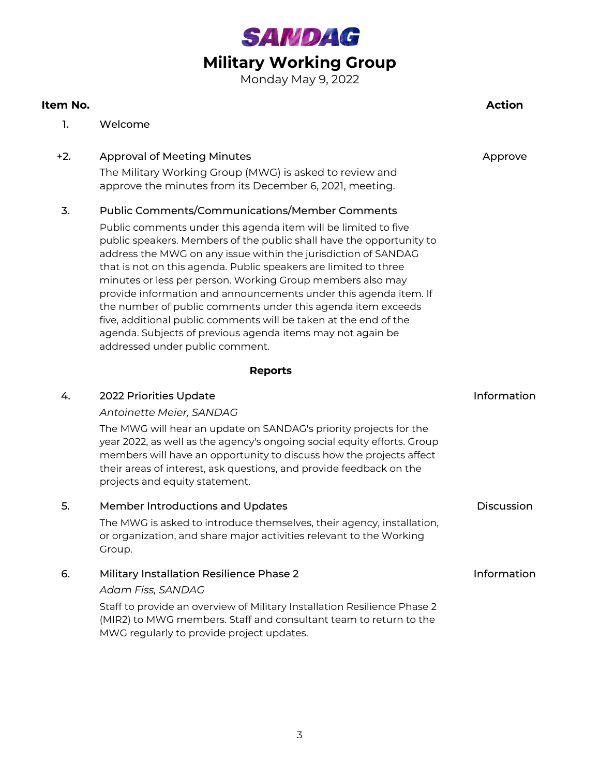

Monday May 9, 2022

# **Item No. Action**

1. Welcome

# +2. Approval of Meeting Minutes Approve The Military Working Group (MWG) is asked to review and approve the minutes from its December 6, 2021, meeting.

# 3. Public Comments/Communications/Member Comments

Public comments under this agenda item will be limited to five public speakers. Members of the public shall have the opportunity to address the MWG on any issue within the jurisdiction of SANDAG that is not on this agenda. Public speakers are limited to three minutes or less per person. Working Group members also may provide information and announcements under this agenda item. If the number of public comments under this agenda item exceeds five, additional public comments will be taken at the end of the agenda. Subjects of previous agenda items may not again be addressed under public comment.

## **Reports**

| 4. | 2022 Priorities Update<br>Antoinette Meier, SANDAG<br>The MWG will hear an update on SANDAG's priority projects for the<br>year 2022, as well as the agency's ongoing social equity efforts. Group<br>members will have an opportunity to discuss how the projects affect<br>their areas of interest, ask questions, and provide feedback on the<br>projects and equity statement. | Information |
|----|------------------------------------------------------------------------------------------------------------------------------------------------------------------------------------------------------------------------------------------------------------------------------------------------------------------------------------------------------------------------------------|-------------|
| 5. | Member Introductions and Updates<br>The MWG is asked to introduce themselves, their agency, installation,<br>or organization, and share major activities relevant to the Working<br>Group.                                                                                                                                                                                         | Discussion  |
| 6. | <b>Military Installation Resilience Phase 2</b><br>Adam Fiss, SANDAG<br>Staff to provide an overview of Military Installation Resilience Phase 2<br>(MIR2) to MWG members. Staff and consultant team to return to the<br>MWG regularly to provide project updates.                                                                                                                 | Information |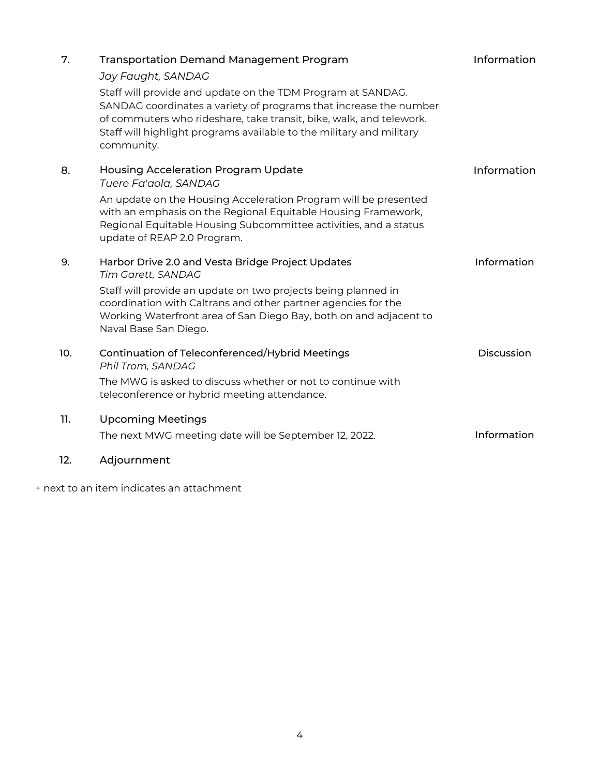| 7.  | <b>Transportation Demand Management Program</b><br>Jay Faught, SANDAG<br>Staff will provide and update on the TDM Program at SANDAG.<br>SANDAG coordinates a variety of programs that increase the number<br>of commuters who rideshare, take transit, bike, walk, and telework.<br>Staff will highlight programs available to the military and military<br>community. | Information       |
|-----|------------------------------------------------------------------------------------------------------------------------------------------------------------------------------------------------------------------------------------------------------------------------------------------------------------------------------------------------------------------------|-------------------|
| 8.  | <b>Housing Acceleration Program Update</b><br>Tuere Fa'aola, SANDAG<br>An update on the Housing Acceleration Program will be presented<br>with an emphasis on the Regional Equitable Housing Framework,<br>Regional Equitable Housing Subcommittee activities, and a status<br>update of REAP 2.0 Program.                                                             | Information       |
| 9.  | Harbor Drive 2.0 and Vesta Bridge Project Updates<br>Tim Garett, SANDAG<br>Staff will provide an update on two projects being planned in<br>coordination with Caltrans and other partner agencies for the<br>Working Waterfront area of San Diego Bay, both on and adjacent to<br>Naval Base San Diego.                                                                | Information       |
| 10. | Continuation of Teleconferenced/Hybrid Meetings<br>Phil Trom, SANDAG<br>The MWG is asked to discuss whether or not to continue with<br>teleconference or hybrid meeting attendance.                                                                                                                                                                                    | <b>Discussion</b> |
| 11. | <b>Upcoming Meetings</b><br>The next MWG meeting date will be September 12, 2022.                                                                                                                                                                                                                                                                                      | Information       |
| 12. | Adjournment                                                                                                                                                                                                                                                                                                                                                            |                   |

+ next to an item indicates an attachment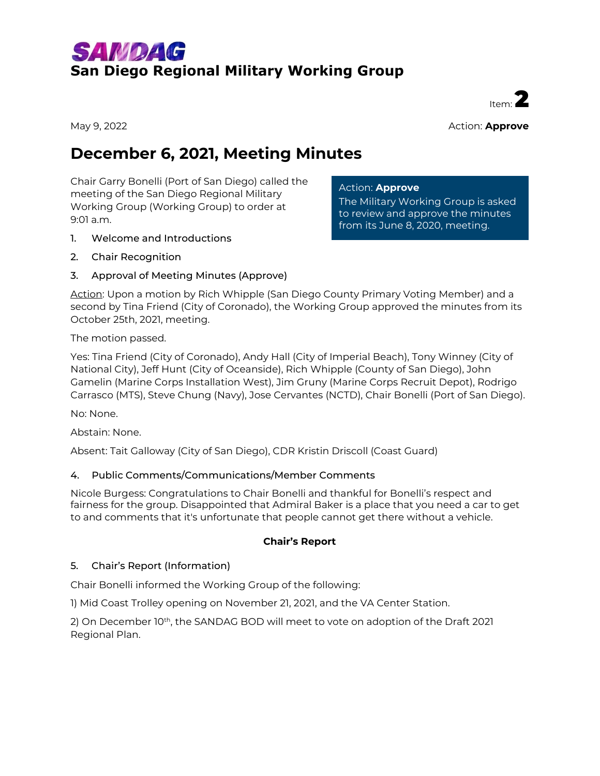# SAMDAG **San Diego Regional Military Working Group**

May 9, 2022 **Action: Approve** 

Item<sup>:</sup>

# **December 6, 2021, Meeting Minutes**

Chair Garry Bonelli (Port of San Diego) called the meeting of the San Diego Regional Military Working Group (Working Group) to order at 9:01 a.m.

## 1. Welcome and Introductions

2. Chair Recognition

## 3. Approval of Meeting Minutes (Approve)

Action: Upon a motion by Rich Whipple (San Diego County Primary Voting Member) and a second by Tina Friend (City of Coronado), the Working Group approved the minutes from its October 25th, 2021, meeting.

Action: **Approve**

The Military Working Group is asked to review and approve the minutes from its June 8, 2020, meeting.

The motion passed.

Yes: Tina Friend (City of Coronado), Andy Hall (City of Imperial Beach), Tony Winney (City of National City), Jeff Hunt (City of Oceanside), Rich Whipple (County of San Diego), John Gamelin (Marine Corps Installation West), Jim Gruny (Marine Corps Recruit Depot), Rodrigo Carrasco (MTS), Steve Chung (Navy), Jose Cervantes (NCTD), Chair Bonelli (Port of San Diego).

No: None.

Abstain: None.

Absent: Tait Galloway (City of San Diego), CDR Kristin Driscoll (Coast Guard)

#### 4. Public Comments/Communications/Member Comments

Nicole Burgess: Congratulations to Chair Bonelli and thankful for Bonelli's respect and fairness for the group. Disappointed that Admiral Baker is a place that you need a car to get to and comments that it's unfortunate that people cannot get there without a vehicle.

#### **Chair's Report**

#### 5. Chair's Report (Information)

Chair Bonelli informed the Working Group of the following:

1) Mid Coast Trolley opening on November 21, 2021, and the VA Center Station.

2) On December 10<sup>th</sup>, the SANDAG BOD will meet to vote on adoption of the Draft 2021 Regional Plan.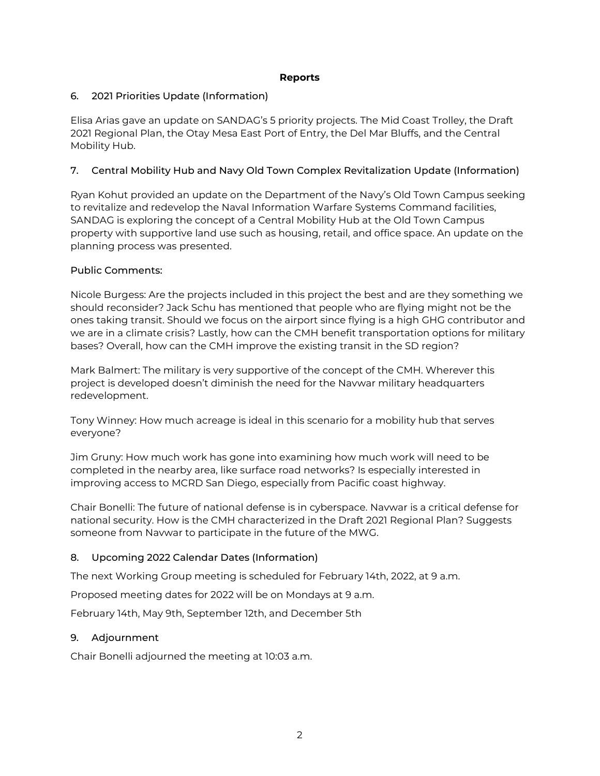#### **Reports**

## 6. 2021 Priorities Update (Information)

Elisa Arias gave an update on SANDAG's 5 priority projects. The Mid Coast Trolley, the Draft 2021 Regional Plan, the Otay Mesa East Port of Entry, the Del Mar Bluffs, and the Central Mobility Hub.

## 7. Central Mobility Hub and Navy Old Town Complex Revitalization Update (Information)

Ryan Kohut provided an update on the Department of the Navy's Old Town Campus seeking to revitalize and redevelop the Naval Information Warfare Systems Command facilities, SANDAG is exploring the concept of a Central Mobility Hub at the Old Town Campus property with supportive land use such as housing, retail, and office space. An update on the planning process was presented.

## Public Comments:

Nicole Burgess: Are the projects included in this project the best and are they something we should reconsider? Jack Schu has mentioned that people who are flying might not be the ones taking transit. Should we focus on the airport since flying is a high GHG contributor and we are in a climate crisis? Lastly, how can the CMH benefit transportation options for military bases? Overall, how can the CMH improve the existing transit in the SD region?

Mark Balmert: The military is very supportive of the concept of the CMH. Wherever this project is developed doesn't diminish the need for the Navwar military headquarters redevelopment.

Tony Winney: How much acreage is ideal in this scenario for a mobility hub that serves everyone?

Jim Gruny: How much work has gone into examining how much work will need to be completed in the nearby area, like surface road networks? Is especially interested in improving access to MCRD San Diego, especially from Pacific coast highway.

Chair Bonelli: The future of national defense is in cyberspace. Navwar is a critical defense for national security. How is the CMH characterized in the Draft 2021 Regional Plan? Suggests someone from Navwar to participate in the future of the MWG.

# 8. Upcoming 2022 Calendar Dates (Information)

The next Working Group meeting is scheduled for February 14th, 2022, at 9 a.m.

Proposed meeting dates for 2022 will be on Mondays at 9 a.m.

February 14th, May 9th, September 12th, and December 5th

## 9. Adjournment

Chair Bonelli adjourned the meeting at 10:03 a.m.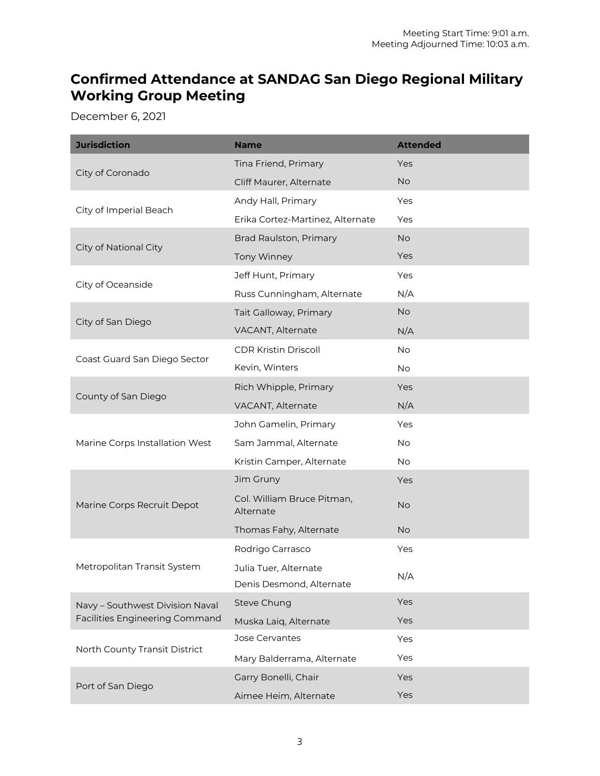# **Confirmed Attendance at SANDAG San Diego Regional Military Working Group Meeting**

December 6, 2021

| <b>Jurisdiction</b>                   | <b>Name</b>                                       | <b>Attended</b> |
|---------------------------------------|---------------------------------------------------|-----------------|
|                                       | Tina Friend, Primary                              | Yes             |
| City of Coronado                      | Cliff Maurer, Alternate                           | <b>No</b>       |
|                                       | Andy Hall, Primary                                | Yes             |
| City of Imperial Beach                | Erika Cortez-Martinez, Alternate                  | Yes             |
|                                       | Brad Raulston, Primary                            | <b>No</b>       |
| City of National City                 | <b>Tony Winney</b>                                | Yes             |
|                                       | Jeff Hunt, Primary                                | Yes             |
| City of Oceanside                     | Russ Cunningham, Alternate                        | N/A             |
|                                       | Tait Galloway, Primary                            | <b>No</b>       |
| City of San Diego                     | VACANT, Alternate                                 | N/A             |
|                                       | <b>CDR Kristin Driscoll</b>                       | No              |
| Coast Guard San Diego Sector          | Kevin, Winters                                    | <b>No</b>       |
|                                       | Rich Whipple, Primary                             | Yes             |
| County of San Diego                   | VACANT, Alternate                                 | N/A             |
| Marine Corps Installation West        | John Gamelin, Primary                             | Yes             |
|                                       | Sam Jammal, Alternate                             | <b>No</b>       |
|                                       | Kristin Camper, Alternate                         | No.             |
|                                       | Jim Gruny                                         | Yes             |
| Marine Corps Recruit Depot            | Col. William Bruce Pitman,<br>Alternate           | <b>No</b>       |
|                                       | Thomas Fahy, Alternate                            | <b>No</b>       |
| Metropolitan Transit System           | Rodrigo Carrasco                                  | Yes             |
|                                       | Julia Tuer, Alternate<br>Denis Desmond, Alternate | N/A             |
| Navy - Southwest Division Naval       | <b>Steve Chung</b>                                | Yes             |
| <b>Facilities Engineering Command</b> | Muska Laiq, Alternate                             | Yes             |
|                                       | Jose Cervantes                                    | Yes             |
| North County Transit District         | Mary Balderrama, Alternate                        | Yes             |
|                                       | Garry Bonelli, Chair                              | Yes             |
| Port of San Diego                     | Aimee Heim, Alternate                             | Yes             |